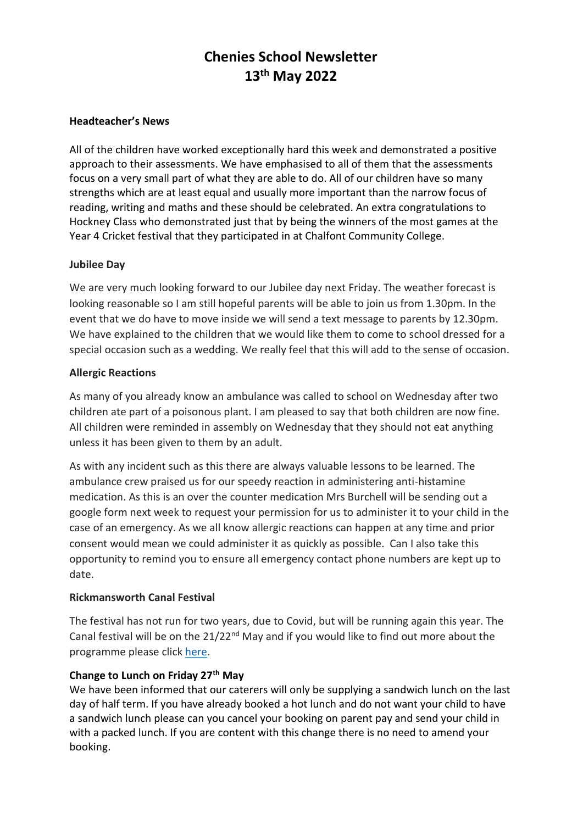# **Chenies School Newsletter 13th May 2022**

#### **Headteacher's News**

All of the children have worked exceptionally hard this week and demonstrated a positive approach to their assessments. We have emphasised to all of them that the assessments focus on a very small part of what they are able to do. All of our children have so many strengths which are at least equal and usually more important than the narrow focus of reading, writing and maths and these should be celebrated. An extra congratulations to Hockney Class who demonstrated just that by being the winners of the most games at the Year 4 Cricket festival that they participated in at Chalfont Community College.

#### **Jubilee Day**

We are very much looking forward to our Jubilee day next Friday. The weather forecast is looking reasonable so I am still hopeful parents will be able to join us from 1.30pm. In the event that we do have to move inside we will send a text message to parents by 12.30pm. We have explained to the children that we would like them to come to school dressed for a special occasion such as a wedding. We really feel that this will add to the sense of occasion.

#### **Allergic Reactions**

As many of you already know an ambulance was called to school on Wednesday after two children ate part of a poisonous plant. I am pleased to say that both children are now fine. All children were reminded in assembly on Wednesday that they should not eat anything unless it has been given to them by an adult.

As with any incident such as this there are always valuable lessons to be learned. The ambulance crew praised us for our speedy reaction in administering anti-histamine medication. As this is an over the counter medication Mrs Burchell will be sending out a google form next week to request your permission for us to administer it to your child in the case of an emergency. As we all know allergic reactions can happen at any time and prior consent would mean we could administer it as quickly as possible. Can I also take this opportunity to remind you to ensure all emergency contact phone numbers are kept up to date.

#### **Rickmansworth Canal Festival**

The festival has not run for two years, due to Covid, but will be running again this year. The Canal festival will be on the 21/22<sup>nd</sup> May and if you would like to find out more about the programme please click [here.](https://issuu.com/philb/docs/rwt_programme_22_final_hi_res)

## **Change to Lunch on Friday 27th May**

We have been informed that our caterers will only be supplying a sandwich lunch on the last day of half term. If you have already booked a hot lunch and do not want your child to have a sandwich lunch please can you cancel your booking on parent pay and send your child in with a packed lunch. If you are content with this change there is no need to amend your booking.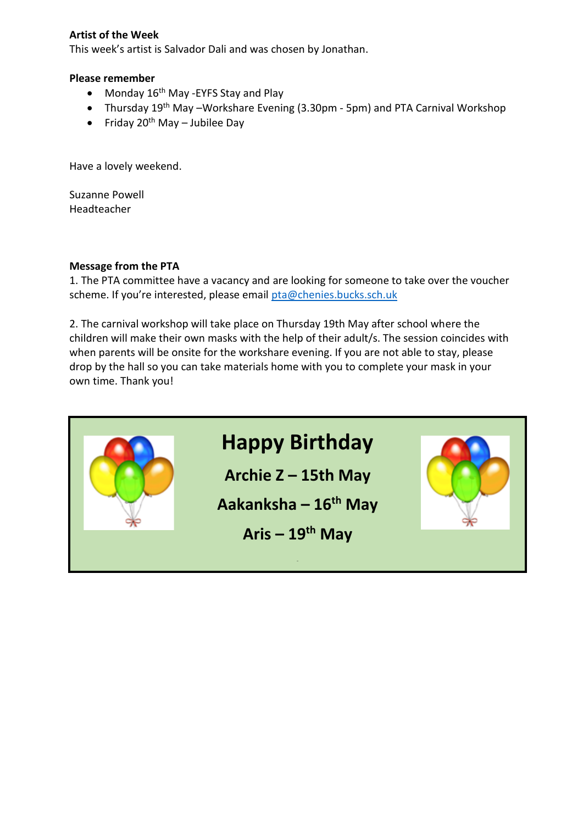## **Artist of the Week**

This week's artist is Salvador Dali and was chosen by Jonathan.

#### **Please remember**

- Monday 16<sup>th</sup> May -EYFS Stay and Play
- Thursday  $19^{th}$  May –Workshare Evening (3.30pm 5pm) and PTA Carnival Workshop
- Friday  $20^{th}$  May Jubilee Day

Have a lovely weekend.

Suzanne Powell Headteacher

#### **Message from the PTA**

1. The PTA committee have a vacancy and are looking for someone to take over the voucher scheme. If you're interested, please email [pta@chenies.bucks.sch.uk](mailto:pta@chenies.bucks.sch.uk)

2. The carnival workshop will take place on Thursday 19th May after school where the children will make their own masks with the help of their adult/s. The session coincides with when parents will be onsite for the workshare evening. If you are not able to stay, please drop by the hall so you can take materials home with you to complete your mask in your own time. Thank you!

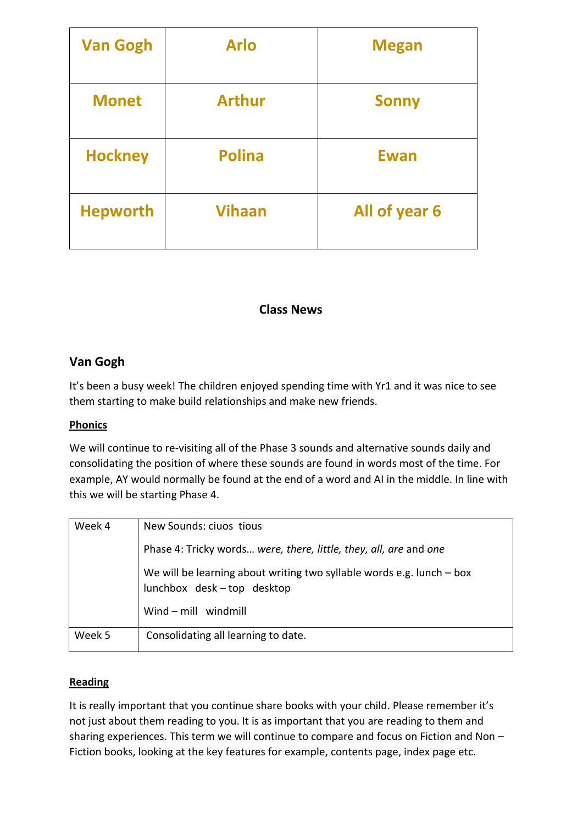| <b>Van Gogh</b> | <b>Arlo</b>   | <b>Megan</b>  |
|-----------------|---------------|---------------|
| <b>Monet</b>    | <b>Arthur</b> | <b>Sonny</b>  |
| <b>Hockney</b>  | <b>Polina</b> | <b>Ewan</b>   |
| <b>Hepworth</b> | <b>Vihaan</b> | All of year 6 |

# **Class News**

# **Van Gogh**

It's been a busy week! The children enjoyed spending time with Yr1 and it was nice to see them starting to make build relationships and make new friends.

## **Phonics**

We will continue to re-visiting all of the Phase 3 sounds and alternative sounds daily and consolidating the position of where these sounds are found in words most of the time. For example, AY would normally be found at the end of a word and AI in the middle. In line with this we will be starting Phase 4.

| Week 4 | New Sounds: ciuos tious                                                                              |
|--------|------------------------------------------------------------------------------------------------------|
|        | Phase 4: Tricky words were, there, little, they, all, are and one                                    |
|        | We will be learning about writing two syllable words e.g. lunch $-$ box<br>lunchbox desk-top desktop |
|        | Wind – mill windmill                                                                                 |
| Week 5 | Consolidating all learning to date.                                                                  |

## **Reading**

It is really important that you continue share books with your child. Please remember it's not just about them reading to you. It is as important that you are reading to them and sharing experiences. This term we will continue to compare and focus on Fiction and Non – Fiction books, looking at the key features for example, contents page, index page etc.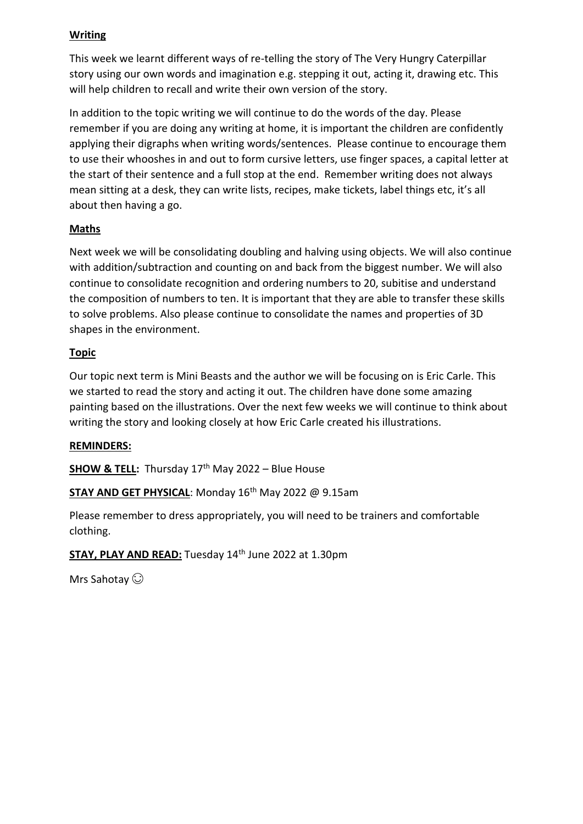## **Writing**

This week we learnt different ways of re-telling the story of The Very Hungry Caterpillar story using our own words and imagination e.g. stepping it out, acting it, drawing etc. This will help children to recall and write their own version of the story.

In addition to the topic writing we will continue to do the words of the day. Please remember if you are doing any writing at home, it is important the children are confidently applying their digraphs when writing words/sentences. Please continue to encourage them to use their whooshes in and out to form cursive letters, use finger spaces, a capital letter at the start of their sentence and a full stop at the end. Remember writing does not always mean sitting at a desk, they can write lists, recipes, make tickets, label things etc, it's all about then having a go.

## **Maths**

Next week we will be consolidating doubling and halving using objects. We will also continue with addition/subtraction and counting on and back from the biggest number. We will also continue to consolidate recognition and ordering numbers to 20, subitise and understand the composition of numbers to ten. It is important that they are able to transfer these skills to solve problems. Also please continue to consolidate the names and properties of 3D shapes in the environment.

## **Topic**

Our topic next term is Mini Beasts and the author we will be focusing on is Eric Carle. This we started to read the story and acting it out. The children have done some amazing painting based on the illustrations. Over the next few weeks we will continue to think about writing the story and looking closely at how Eric Carle created his illustrations.

## **REMINDERS:**

**SHOW & TELL:** Thursday  $17<sup>th</sup>$  May 2022 – Blue House

**STAY AND GET PHYSICAL:** Monday 16<sup>th</sup> May 2022 @ 9.15am

Please remember to dress appropriately, you will need to be trainers and comfortable clothing.

**STAY, PLAY AND READ:** Tuesday 14th June 2022 at 1.30pm

Mrs Sahotay  $\odot$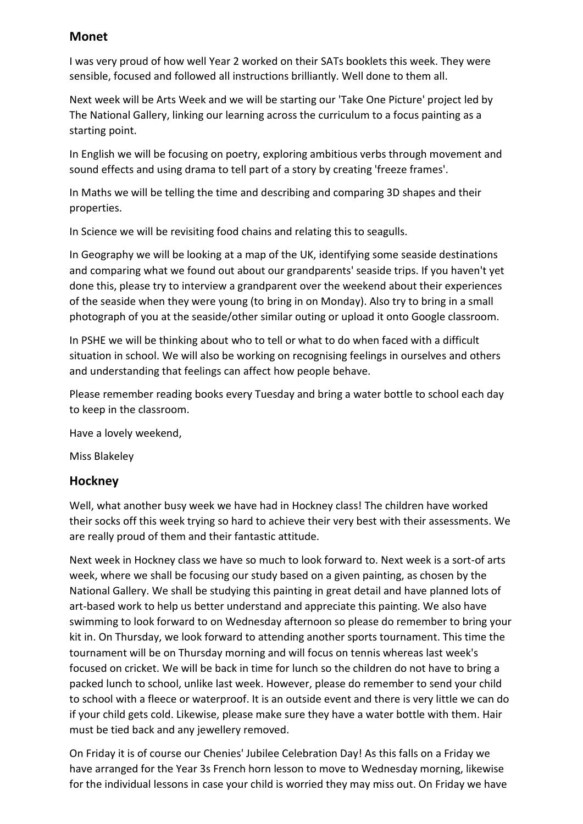# **Monet**

I was very proud of how well Year 2 worked on their SATs booklets this week. They were sensible, focused and followed all instructions brilliantly. Well done to them all.

Next week will be Arts Week and we will be starting our 'Take One Picture' project led by The National Gallery, linking our learning across the curriculum to a focus painting as a starting point.

In English we will be focusing on poetry, exploring ambitious verbs through movement and sound effects and using drama to tell part of a story by creating 'freeze frames'.

In Maths we will be telling the time and describing and comparing 3D shapes and their properties.

In Science we will be revisiting food chains and relating this to seagulls.

In Geography we will be looking at a map of the UK, identifying some seaside destinations and comparing what we found out about our grandparents' seaside trips. If you haven't yet done this, please try to interview a grandparent over the weekend about their experiences of the seaside when they were young (to bring in on Monday). Also try to bring in a small photograph of you at the seaside/other similar outing or upload it onto Google classroom.

In PSHE we will be thinking about who to tell or what to do when faced with a difficult situation in school. We will also be working on recognising feelings in ourselves and others and understanding that feelings can affect how people behave.

Please remember reading books every Tuesday and bring a water bottle to school each day to keep in the classroom.

Have a lovely weekend,

Miss Blakeley

# **Hockney**

Well, what another busy week we have had in Hockney class! The children have worked their socks off this week trying so hard to achieve their very best with their assessments. We are really proud of them and their fantastic attitude.

Next week in Hockney class we have so much to look forward to. Next week is a sort-of arts week, where we shall be focusing our study based on a given painting, as chosen by the National Gallery. We shall be studying this painting in great detail and have planned lots of art-based work to help us better understand and appreciate this painting. We also have swimming to look forward to on Wednesday afternoon so please do remember to bring your kit in. On Thursday, we look forward to attending another sports tournament. This time the tournament will be on Thursday morning and will focus on tennis whereas last week's focused on cricket. We will be back in time for lunch so the children do not have to bring a packed lunch to school, unlike last week. However, please do remember to send your child to school with a fleece or waterproof. It is an outside event and there is very little we can do if your child gets cold. Likewise, please make sure they have a water bottle with them. Hair must be tied back and any jewellery removed.

On Friday it is of course our Chenies' Jubilee Celebration Day! As this falls on a Friday we have arranged for the Year 3s French horn lesson to move to Wednesday morning, likewise for the individual lessons in case your child is worried they may miss out. On Friday we have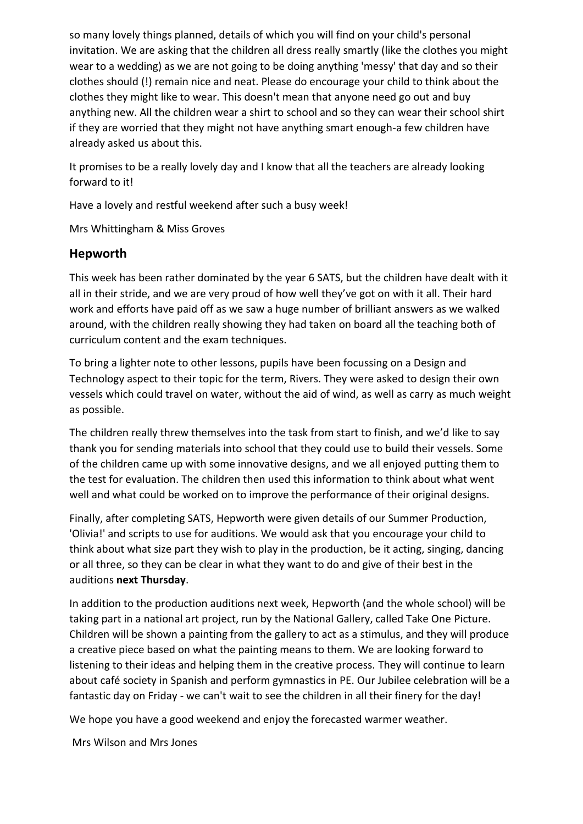so many lovely things planned, details of which you will find on your child's personal invitation. We are asking that the children all dress really smartly (like the clothes you might wear to a wedding) as we are not going to be doing anything 'messy' that day and so their clothes should (!) remain nice and neat. Please do encourage your child to think about the clothes they might like to wear. This doesn't mean that anyone need go out and buy anything new. All the children wear a shirt to school and so they can wear their school shirt if they are worried that they might not have anything smart enough-a few children have already asked us about this.

It promises to be a really lovely day and I know that all the teachers are already looking forward to it!

Have a lovely and restful weekend after such a busy week!

Mrs Whittingham & Miss Groves

# **Hepworth**

This week has been rather dominated by the year 6 SATS, but the children have dealt with it all in their stride, and we are very proud of how well they've got on with it all. Their hard work and efforts have paid off as we saw a huge number of brilliant answers as we walked around, with the children really showing they had taken on board all the teaching both of curriculum content and the exam techniques.

To bring a lighter note to other lessons, pupils have been focussing on a Design and Technology aspect to their topic for the term, Rivers. They were asked to design their own vessels which could travel on water, without the aid of wind, as well as carry as much weight as possible.

The children really threw themselves into the task from start to finish, and we'd like to say thank you for sending materials into school that they could use to build their vessels. Some of the children came up with some innovative designs, and we all enjoyed putting them to the test for evaluation. The children then used this information to think about what went well and what could be worked on to improve the performance of their original designs.

Finally, after completing SATS, Hepworth were given details of our Summer Production, 'Olivia!' and scripts to use for auditions. We would ask that you encourage your child to think about what size part they wish to play in the production, be it acting, singing, dancing or all three, so they can be clear in what they want to do and give of their best in the auditions **next Thursday**.

In addition to the production auditions next week, Hepworth (and the whole school) will be taking part in a national art project, run by the National Gallery, called Take One Picture. Children will be shown a painting from the gallery to act as a stimulus, and they will produce a creative piece based on what the painting means to them. We are looking forward to listening to their ideas and helping them in the creative process. They will continue to learn about café society in Spanish and perform gymnastics in PE. Our Jubilee celebration will be a fantastic day on Friday - we can't wait to see the children in all their finery for the day!

We hope you have a good weekend and enjoy the forecasted warmer weather.

Mrs Wilson and Mrs Jones